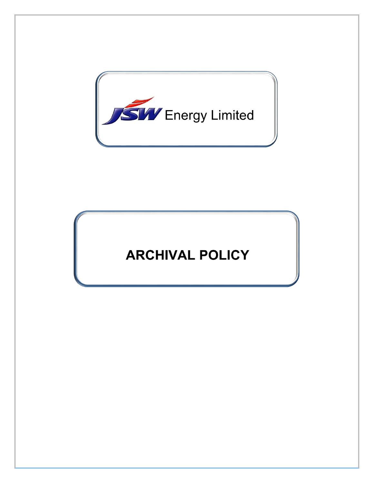

# **ARCHIVAL POLICY**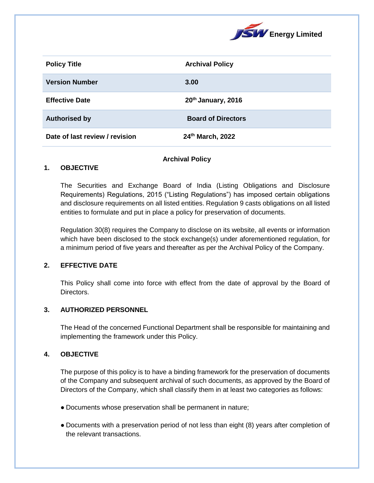

| <b>Policy Title</b>            | <b>Archival Policy</b>    |
|--------------------------------|---------------------------|
| <b>Version Number</b>          | 3.00                      |
| <b>Effective Date</b>          | 20th January, 2016        |
| <b>Authorised by</b>           | <b>Board of Directors</b> |
| Date of last review / revision | 24th March, 2022          |

### **Archival Policy**

### **1. OBJECTIVE**

The Securities and Exchange Board of India (Listing Obligations and Disclosure Requirements) Regulations, 2015 ("Listing Regulations") has imposed certain obligations and disclosure requirements on all listed entities. Regulation 9 casts obligations on all listed entities to formulate and put in place a policy for preservation of documents.

Regulation 30(8) requires the Company to disclose on its website, all events or information which have been disclosed to the stock exchange(s) under aforementioned regulation, for a minimum period of five years and thereafter as per the Archival Policy of the Company.

## **2. EFFECTIVE DATE**

This Policy shall come into force with effect from the date of approval by the Board of Directors.

### **3. AUTHORIZED PERSONNEL**

The Head of the concerned Functional Department shall be responsible for maintaining and implementing the framework under this Policy.

### **4. OBJECTIVE**

The purpose of this policy is to have a binding framework for the preservation of documents of the Company and subsequent archival of such documents, as approved by the Board of Directors of the Company, which shall classify them in at least two categories as follows:

- Documents whose preservation shall be permanent in nature;
- Documents with a preservation period of not less than eight (8) years after completion of the relevant transactions.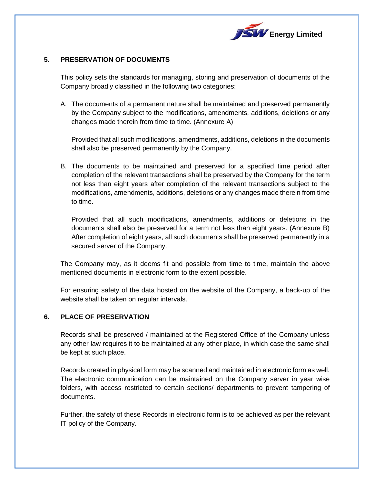

## **5. PRESERVATION OF DOCUMENTS**

This policy sets the standards for managing, storing and preservation of documents of the Company broadly classified in the following two categories:

A. The documents of a permanent nature shall be maintained and preserved permanently by the Company subject to the modifications, amendments, additions, deletions or any changes made therein from time to time. (Annexure A)

Provided that all such modifications, amendments, additions, deletions in the documents shall also be preserved permanently by the Company.

B. The documents to be maintained and preserved for a specified time period after completion of the relevant transactions shall be preserved by the Company for the term not less than eight years after completion of the relevant transactions subject to the modifications, amendments, additions, deletions or any changes made therein from time to time.

Provided that all such modifications, amendments, additions or deletions in the documents shall also be preserved for a term not less than eight years. (Annexure B) After completion of eight years, all such documents shall be preserved permanently in a secured server of the Company.

The Company may, as it deems fit and possible from time to time, maintain the above mentioned documents in electronic form to the extent possible.

For ensuring safety of the data hosted on the website of the Company, a back-up of the website shall be taken on regular intervals.

## **6. PLACE OF PRESERVATION**

Records shall be preserved / maintained at the Registered Office of the Company unless any other law requires it to be maintained at any other place, in which case the same shall be kept at such place.

Records created in physical form may be scanned and maintained in electronic form as well. The electronic communication can be maintained on the Company server in year wise folders, with access restricted to certain sections/ departments to prevent tampering of documents.

Further, the safety of these Records in electronic form is to be achieved as per the relevant IT policy of the Company.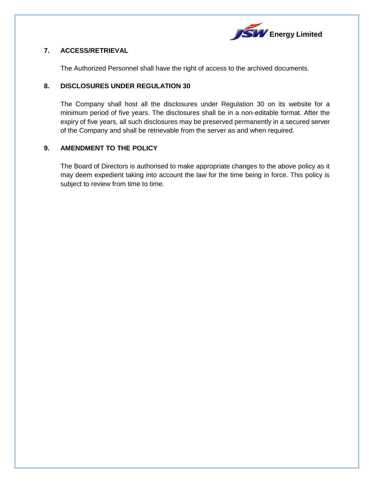

## **7. ACCESS/RETRIEVAL**

The Authorized Personnel shall have the right of access to the archived documents.

## **8. DISCLOSURES UNDER REGULATION 30**

The Company shall host all the disclosures under Regulation 30 on its website for a minimum period of five years. The disclosures shall be in a non-editable format. After the expiry of five years, all such disclosures may be preserved permanently in a secured server of the Company and shall be retrievable from the server as and when required.

## **9. AMENDMENT TO THE POLICY**

The Board of Directors is authorised to make appropriate changes to the above policy as it may deem expedient taking into account the law for the time being in force. This policy is subject to review from time to time.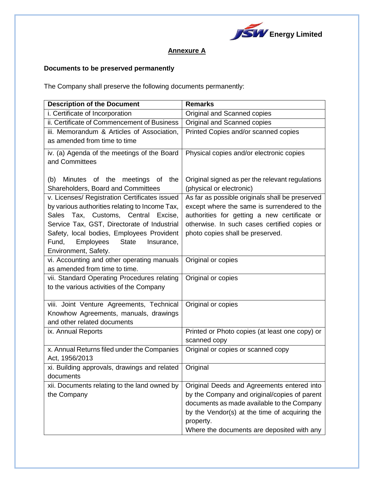

## **Annexure A**

## **Documents to be preserved permanently**

The Company shall preserve the following documents permanently:

| <b>Description of the Document</b>                                                            | <b>Remarks</b>                                  |
|-----------------------------------------------------------------------------------------------|-------------------------------------------------|
| i. Certificate of Incorporation                                                               | Original and Scanned copies                     |
| ii. Certificate of Commencement of Business                                                   | Original and Scanned copies                     |
| iii. Memorandum & Articles of Association,                                                    | Printed Copies and/or scanned copies            |
| as amended from time to time                                                                  |                                                 |
| iv. (a) Agenda of the meetings of the Board                                                   | Physical copies and/or electronic copies        |
| and Committees                                                                                |                                                 |
|                                                                                               |                                                 |
| Minutes of the meetings of the<br>(b)                                                         | Original signed as per the relevant regulations |
| Shareholders, Board and Committees                                                            | (physical or electronic)                        |
| v. Licenses/ Registration Certificates issued                                                 | As far as possible originals shall be preserved |
| by various authorities relating to Income Tax,                                                | except where the same is surrendered to the     |
| Sales Tax, Customs, Central Excise,                                                           | authorities for getting a new certificate or    |
| Service Tax, GST, Directorate of Industrial                                                   | otherwise. In such cases certified copies or    |
| Safety, local bodies, Employees Provident<br>Employees<br><b>State</b><br>Fund,<br>Insurance, | photo copies shall be preserved.                |
| Environment, Safety.                                                                          |                                                 |
| vi. Accounting and other operating manuals                                                    | Original or copies                              |
| as amended from time to time.                                                                 |                                                 |
| vii. Standard Operating Procedures relating                                                   | Original or copies                              |
| to the various activities of the Company                                                      |                                                 |
|                                                                                               |                                                 |
| viii. Joint Venture Agreements, Technical                                                     | Original or copies                              |
| Knowhow Agreements, manuals, drawings                                                         |                                                 |
| and other related documents                                                                   |                                                 |
| ix. Annual Reports                                                                            | Printed or Photo copies (at least one copy) or  |
|                                                                                               | scanned copy                                    |
| x. Annual Returns filed under the Companies                                                   | Original or copies or scanned copy              |
| Act, 1956/2013                                                                                |                                                 |
| xi. Building approvals, drawings and related<br>documents                                     | Original                                        |
| xii. Documents relating to the land owned by                                                  | Original Deeds and Agreements entered into      |
| the Company                                                                                   | by the Company and original/copies of parent    |
|                                                                                               | documents as made available to the Company      |
|                                                                                               | by the Vendor(s) at the time of acquiring the   |
|                                                                                               | property.                                       |
|                                                                                               | Where the documents are deposited with any      |